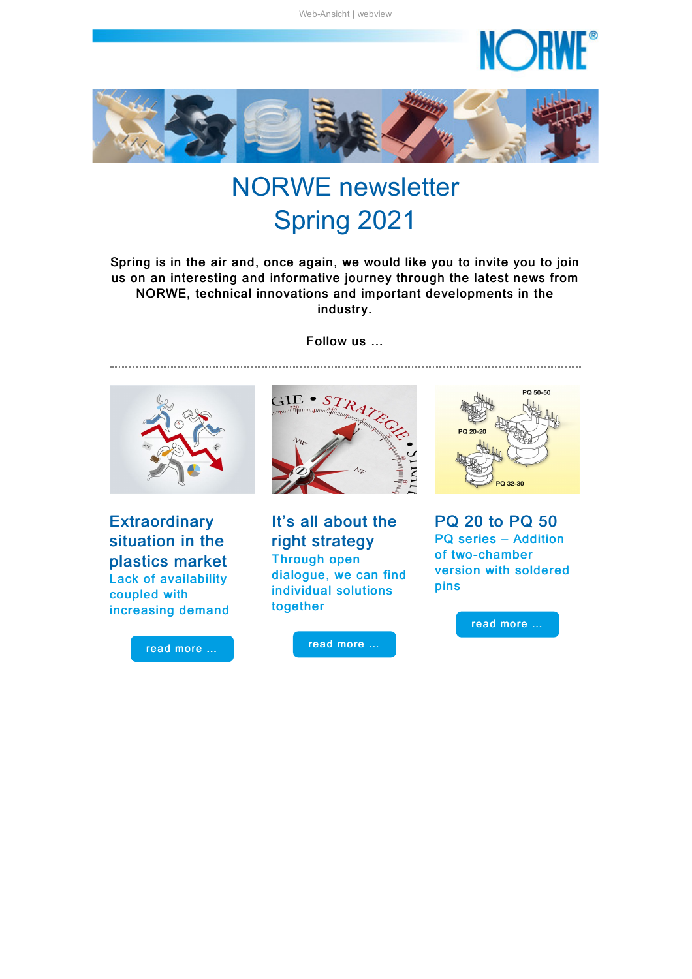

<span id="page-0-0"></span>

# NORWE newsletter Spring 2021

Spring is in the air and, once again, we would like you to invite you to join us on an interesting and informative journey through the latest news from NORWE, technical innovations and important developments in the industry.



**Extraordinary** situation in the plastics market Lack of availability coupled with increasing demand





It's all about the right strategy Through open dialogue, we can find individual solutions together

read [more](#page-2-0) …



PQ 20 to PQ 50 PQ series – Addition of two-chamber version with soldered pins

read [more](#page-3-0) …

#### Follow us …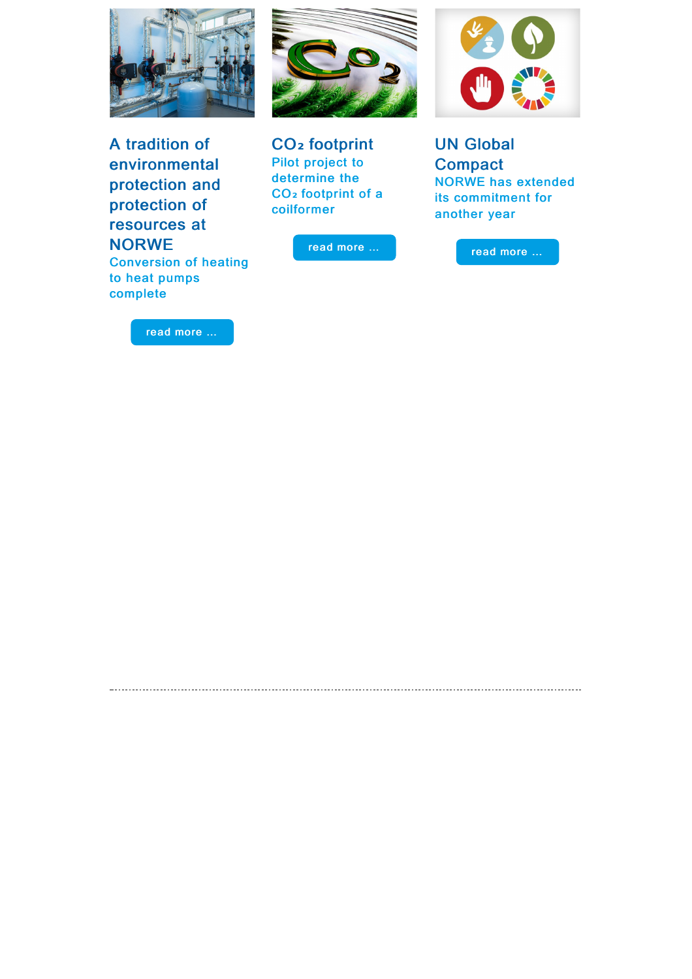

A tradition of environmental protection and protection of resources at **NORWE** 

Conversion of heating to heat pumps complete

read [more](#page-5-0) …



CO**₂** footprint Pilot project to determine the CO**₂** footprint of a coilformer

read [more](#page-5-1) …

<span id="page-1-0"></span>



UN Global **Compact** NORWE has extended its commitment for another year

read [more](#page-6-0) …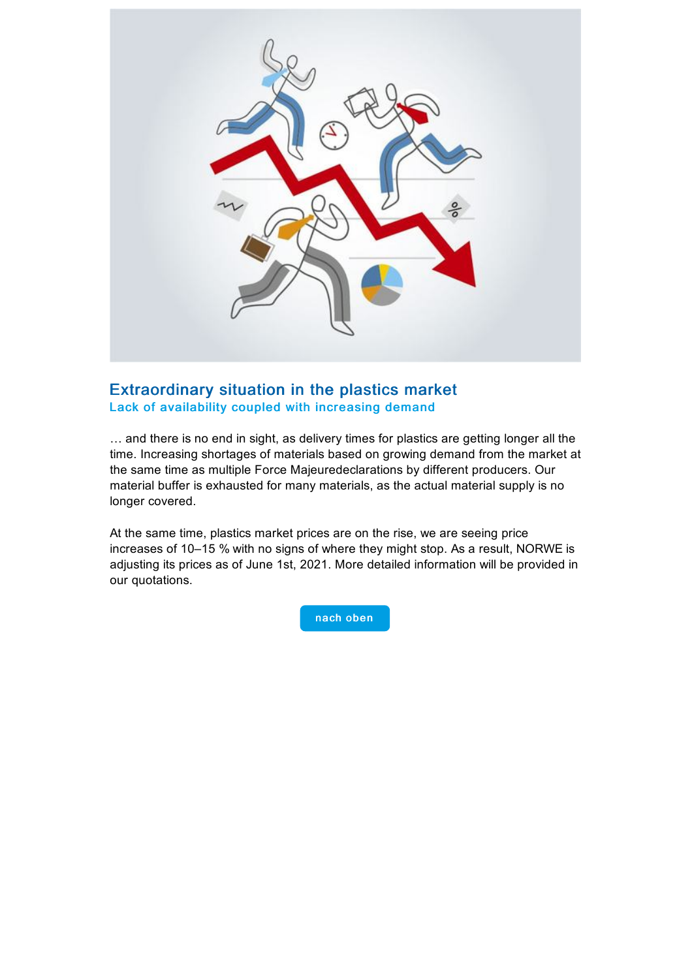

#### Extraordinary situation in the plastics market Lack of availability coupled with increasing demand

… and there is no end in sight, as delivery times for plastics are getting longer all the time. Increasing shortages of materials based on growing demand from the market at the same time as multiple Force Majeuredeclarations by different producers. Our material buffer is exhausted for many materials, as the actual material supply is no longer covered.

<span id="page-2-0"></span>At the same time, plastics market prices are on the rise, we are seeing price increases of 10–15 % with no signs of where they might stop. As a result, NORWE is adjusting its prices as of June 1st, 2021. More detailed information will be provided in our quotations.

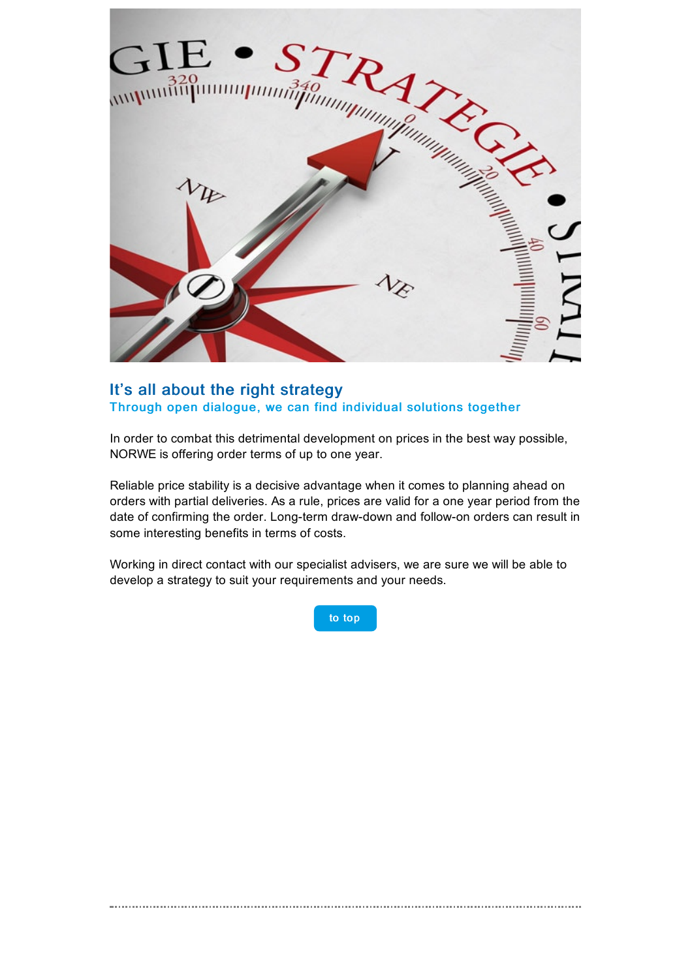

#### It's all about the right strategy Through open dialogue, we can find individual solutions together

In order to combat this detrimental development on prices in the best way possible, NORWE is offering order terms of up to one year.

Reliable price stability is a decisive advantage when it comes to planning ahead on orders with partial deliveries. As a rule, prices are valid for a one year period from the date of confirming the order. Long-term draw-down and follow-on orders can result in some interesting benefits in terms of costs.

Working in direct contact with our specialist advisers, we are sure we will be able to develop a strategy to suit your requirements and your needs.



<span id="page-3-0"></span>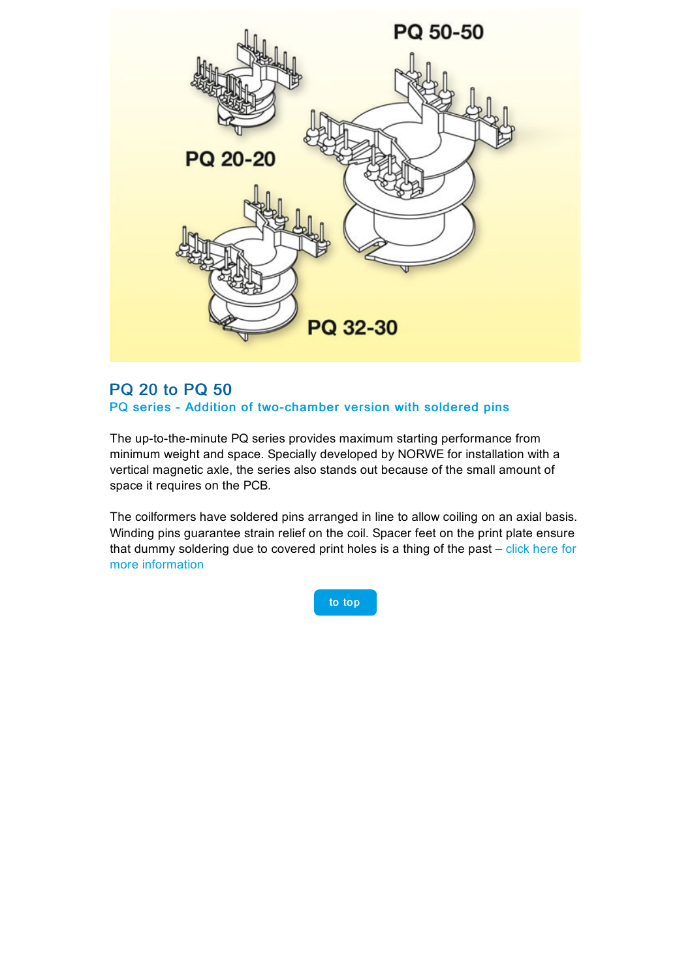

#### PQ 20 to PQ 50 PQ series - Addition of two-chamber version with soldered pins

The up-to-the-minute PQ series provides maximum starting performance from minimum weight and space. Specially developed by NORWE for installation with a vertical magnetic axle, the series also stands out because of the small amount of space it requires on the PCB.

The coilformers have soldered pins arranged in line to allow coiling on an axial basis. Winding pins guarantee strain relief on the coil. Spacer feet on the print plate ensure that dummy soldering due to covered print holes is a thing of the past – click here for more [information](https://taadea104.emailsys1c.net/c/177/3980181/0/0/0/188205/f2d21c00cb.html?testmail=yes)

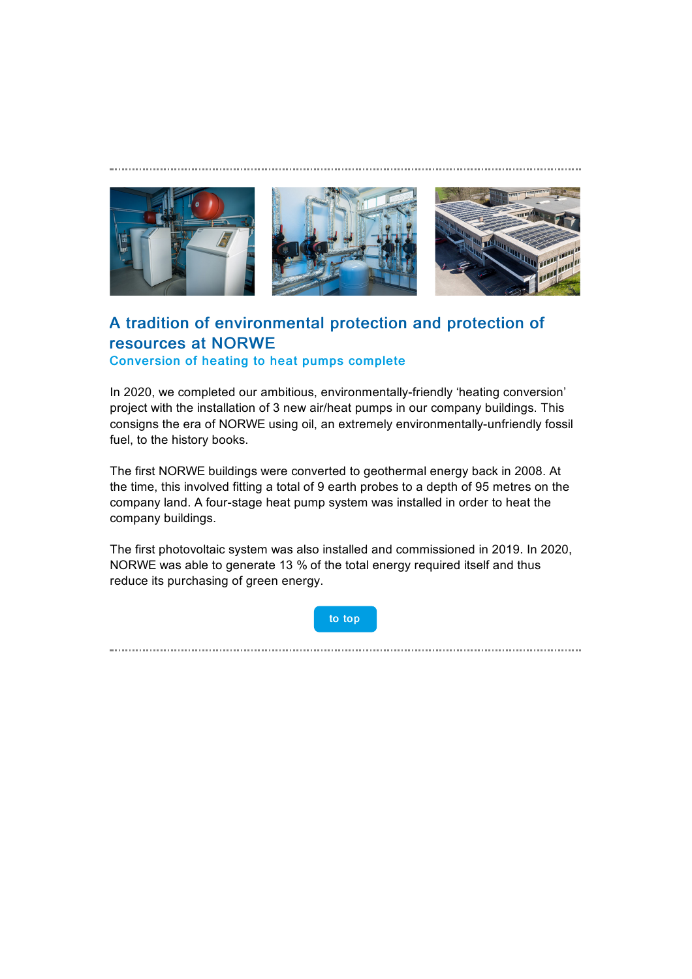<span id="page-5-0"></span>

# A tradition of environmental protection and protection of resources at NORWE Conversion of heating to heat pumps complete

In 2020, we completed our ambitious, environmentally-friendly 'heating conversion' project with the installation of 3 new air/heat pumps in our company buildings. This consigns the era of NORWE using oil, an extremely environmentally-unfriendly fossil fuel, to the history books.

The first NORWE buildings were converted to geothermal energy back in 2008. At the time, this involved fitting a total of 9 earth probes to a depth of 95 metres on the company land. A four-stage heat pump system was installed in order to heat the company buildings.

The first photovoltaic system was also installed and commissioned in 2019. In 2020, NORWE was able to generate 13 % of the total energy required itself and thus reduce its purchasing of green energy.

to [top](#page-0-0)

<span id="page-5-1"></span>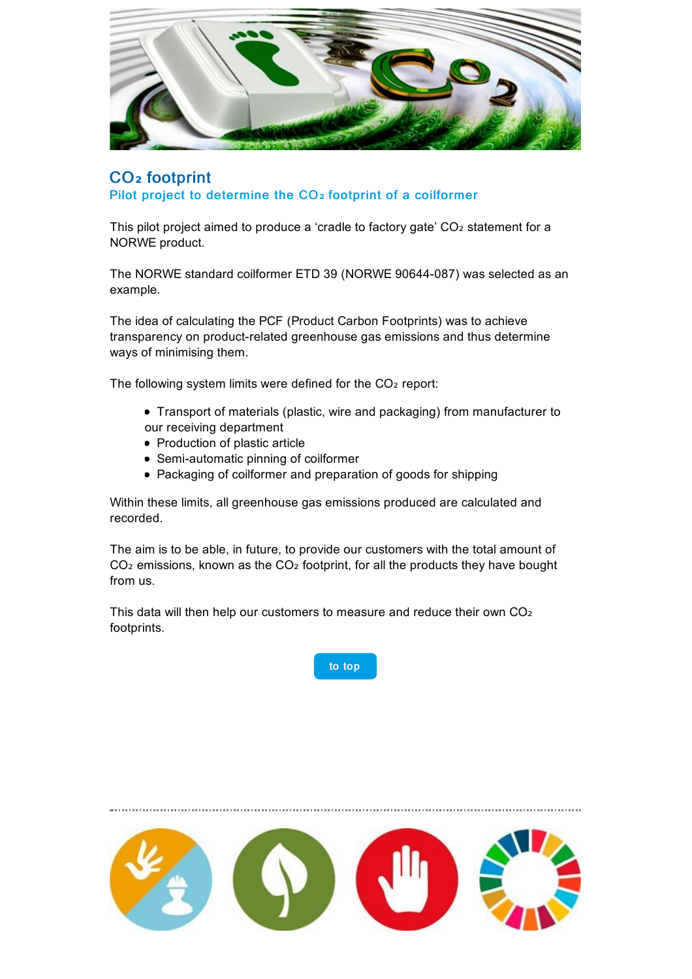

## CO**₂** footprint Pilot project to determine the CO**₂** footprint of a coilformer

This pilot project aimed to produce a 'cradle to factory gate' CO2 statement for a NORWE product.

The NORWE standard coilformer ETD 39 (NORWE 90644-087) was selected as an example.

The idea of calculating the PCF (Product Carbon Footprints) was to achieve transparency on product-related greenhouse gas emissions and thus determine ways of minimising them.

The following system limits were defined for the CO<sub>2</sub> report:

- Transport of materials (plastic, wire and packaging) from manufacturer to our receiving department
- Production of plastic article
- Semi-automatic pinning of coilformer
- Packaging of coilformer and preparation of goods for shipping

Within these limits, all greenhouse gas emissions produced are calculated and recorded.

The aim is to be able, in future, to provide our customers with the total amount of CO<sub>2</sub> emissions, known as the CO<sub>2</sub> footprint, for all the products they have bought from us.

This data will then help our customers to measure and reduce their own CO₂ footprints.



<span id="page-6-0"></span>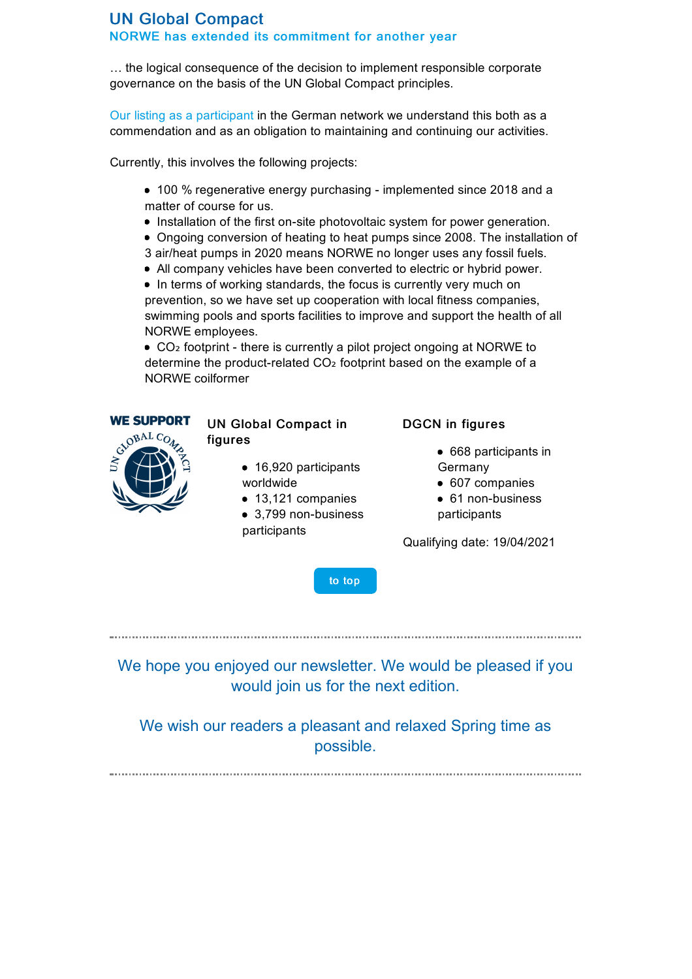## UN Global Compact NORWE has extended its commitment for another year

… the logical consequence of the decision to implement responsible corporate governance on the basis of the UN Global Compact principles.

Our listing as a [participant](https://taadea104.emailsys1c.net/c/177/3980181/0/0/0/188197/25c514cc14.html?testmail=yes) in the German network we understand this both as a commendation and as an obligation to maintaining and continuing our activities.

Currently, this involves the following projects:

- 100 % regenerative energy purchasing implemented since 2018 and a matter of course for us.
- Installation of the first on-site photovoltaic system for power generation.
- Ongoing conversion of heating to heat pumps since 2008. The installation of
- 3 air/heat pumps in 2020 means NORWE no longer uses any fossil fuels.
- All company vehicles have been converted to electric or hybrid power.
- In terms of working standards, the focus is currently very much on

prevention, so we have set up cooperation with local fitness companies, swimming pools and sports facilities to improve and support the health of all NORWE employees.

■ CO<sub>2</sub> footprint - there is currently a pilot project ongoing at NORWE to determine the product-related CO<sub>2</sub> footprint based on the example of a NORWE coilformer



#### UN Global Compact in figures

- 16,920 participants worldwide
	- 13,121 companies
- 3,799 non-business participants

#### DGCN in figures

- 668 participants in Germany
- 607 companies
- 61 non-business participants

Qualifying date: 19/04/2021

to [top](#page-0-0)

We hope you enjoyed our newsletter. We would be pleased if you would join us for the next edition.

We wish our readers a pleasant and relaxed Spring time as possible.